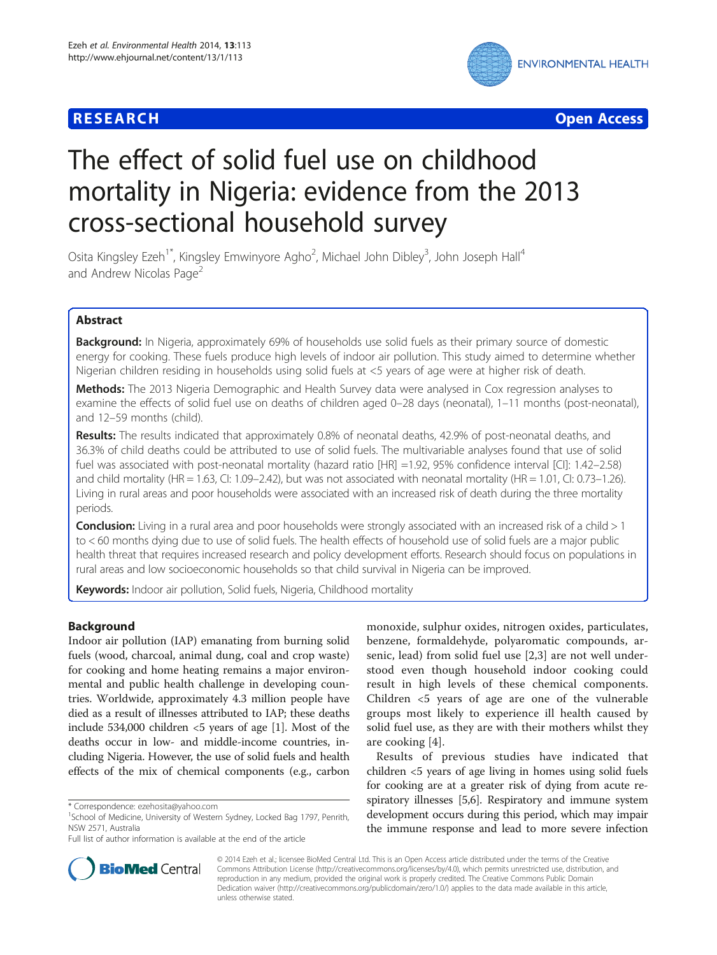



# The effect of solid fuel use on childhood mortality in Nigeria: evidence from the 2013 cross-sectional household survey

Osita Kingsley Ezeh<sup>1\*</sup>, Kingsley Emwinyore Agho<sup>2</sup>, Michael John Dibley<sup>3</sup>, John Joseph Hall<sup>4</sup> and Andrew Nicolas Page<sup>2</sup>

# Abstract

**Background:** In Nigeria, approximately 69% of households use solid fuels as their primary source of domestic energy for cooking. These fuels produce high levels of indoor air pollution. This study aimed to determine whether Nigerian children residing in households using solid fuels at <5 years of age were at higher risk of death.

**Methods:** The 2013 Nigeria Demographic and Health Survey data were analysed in Cox regression analyses to examine the effects of solid fuel use on deaths of children aged 0–28 days (neonatal), 1–11 months (post-neonatal), and 12–59 months (child).

Results: The results indicated that approximately 0.8% of neonatal deaths, 42.9% of post-neonatal deaths, and 36.3% of child deaths could be attributed to use of solid fuels. The multivariable analyses found that use of solid fuel was associated with post-neonatal mortality (hazard ratio [HR] =1.92, 95% confidence interval [CI]: 1.42–2.58) and child mortality (HR = 1.63, CI: 1.09–2.42), but was not associated with neonatal mortality (HR = 1.01, CI: 0.73–1.26). Living in rural areas and poor households were associated with an increased risk of death during the three mortality periods.

**Conclusion:** Living in a rural area and poor households were strongly associated with an increased risk of a child  $>1$ to < 60 months dying due to use of solid fuels. The health effects of household use of solid fuels are a major public health threat that requires increased research and policy development efforts. Research should focus on populations in rural areas and low socioeconomic households so that child survival in Nigeria can be improved.

Keywords: Indoor air pollution, Solid fuels, Nigeria, Childhood mortality

# Background

Indoor air pollution (IAP) emanating from burning solid fuels (wood, charcoal, animal dung, coal and crop waste) for cooking and home heating remains a major environmental and public health challenge in developing countries. Worldwide, approximately 4.3 million people have died as a result of illnesses attributed to IAP; these deaths include 534,000 children  $\lt$ 5 years of age [[1\]](#page-8-0). Most of the deaths occur in low- and middle-income countries, including Nigeria. However, the use of solid fuels and health effects of the mix of chemical components (e.g., carbon

monoxide, sulphur oxides, nitrogen oxides, particulates, benzene, formaldehyde, polyaromatic compounds, arsenic, lead) from solid fuel use [\[2](#page-8-0),[3\]](#page-8-0) are not well understood even though household indoor cooking could result in high levels of these chemical components. Children <5 years of age are one of the vulnerable groups most likely to experience ill health caused by solid fuel use, as they are with their mothers whilst they are cooking [[4](#page-8-0)].

Results of previous studies have indicated that children <5 years of age living in homes using solid fuels for cooking are at a greater risk of dying from acute respiratory illnesses [[5,6](#page-8-0)]. Respiratory and immune system development occurs during this period, which may impair the immune response and lead to more severe infection



© 2014 Ezeh et al.; licensee BioMed Central Ltd. This is an Open Access article distributed under the terms of the Creative Commons Attribution License [\(http://creativecommons.org/licenses/by/4.0\)](http://creativecommons.org/licenses/by/4.0), which permits unrestricted use, distribution, and reproduction in any medium, provided the original work is properly credited. The Creative Commons Public Domain Dedication waiver [\(http://creativecommons.org/publicdomain/zero/1.0/](http://creativecommons.org/publicdomain/zero/1.0/)) applies to the data made available in this article, unless otherwise stated.

<sup>\*</sup> Correspondence: [ezehosita@yahoo.com](mailto:ezehosita@yahoo.com) <sup>1</sup>

<sup>&</sup>lt;sup>1</sup>School of Medicine, University of Western Sydney, Locked Bag 1797, Penrith, NSW 2571, Australia

Full list of author information is available at the end of the article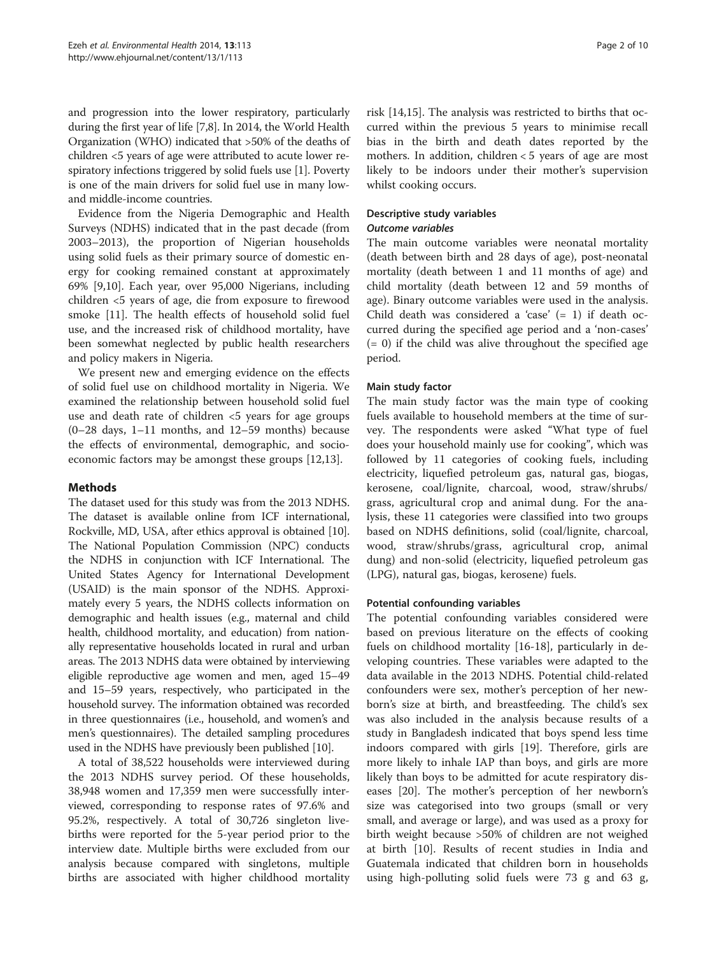and progression into the lower respiratory, particularly during the first year of life [[7,8](#page-8-0)]. In 2014, the World Health Organization (WHO) indicated that >50% of the deaths of children <5 years of age were attributed to acute lower respiratory infections triggered by solid fuels use [[1\]](#page-8-0). Poverty is one of the main drivers for solid fuel use in many lowand middle-income countries.

Evidence from the Nigeria Demographic and Health Surveys (NDHS) indicated that in the past decade (from 2003–2013), the proportion of Nigerian households using solid fuels as their primary source of domestic energy for cooking remained constant at approximately 69% [[9,10\]](#page-8-0). Each year, over 95,000 Nigerians, including children <5 years of age, die from exposure to firewood smoke [[11\]](#page-8-0). The health effects of household solid fuel use, and the increased risk of childhood mortality, have been somewhat neglected by public health researchers and policy makers in Nigeria.

We present new and emerging evidence on the effects of solid fuel use on childhood mortality in Nigeria. We examined the relationship between household solid fuel use and death rate of children <5 years for age groups (0–28 days, 1–11 months, and 12–59 months) because the effects of environmental, demographic, and socioeconomic factors may be amongst these groups [[12](#page-8-0),[13](#page-8-0)].

# Methods

The dataset used for this study was from the 2013 NDHS. The dataset is available online from ICF international, Rockville, MD, USA, after ethics approval is obtained [[10](#page-8-0)]. The National Population Commission (NPC) conducts the NDHS in conjunction with ICF International. The United States Agency for International Development (USAID) is the main sponsor of the NDHS. Approximately every 5 years, the NDHS collects information on demographic and health issues (e.g., maternal and child health, childhood mortality, and education) from nationally representative households located in rural and urban areas. The 2013 NDHS data were obtained by interviewing eligible reproductive age women and men, aged 15–49 and 15–59 years, respectively, who participated in the household survey. The information obtained was recorded in three questionnaires (i.e., household, and women's and men's questionnaires). The detailed sampling procedures used in the NDHS have previously been published [[10](#page-8-0)].

A total of 38,522 households were interviewed during the 2013 NDHS survey period. Of these households, 38,948 women and 17,359 men were successfully interviewed, corresponding to response rates of 97.6% and 95.2%, respectively. A total of 30,726 singleton livebirths were reported for the 5-year period prior to the interview date. Multiple births were excluded from our analysis because compared with singletons, multiple births are associated with higher childhood mortality

risk [[14,15\]](#page-8-0). The analysis was restricted to births that occurred within the previous 5 years to minimise recall bias in the birth and death dates reported by the mothers. In addition, children < 5 years of age are most likely to be indoors under their mother's supervision whilst cooking occurs.

### Descriptive study variables Outcome variables

The main outcome variables were neonatal mortality (death between birth and 28 days of age), post-neonatal mortality (death between 1 and 11 months of age) and child mortality (death between 12 and 59 months of age). Binary outcome variables were used in the analysis. Child death was considered a 'case'  $(= 1)$  if death occurred during the specified age period and a 'non-cases'  $(= 0)$  if the child was alive throughout the specified age period.

# Main study factor

The main study factor was the main type of cooking fuels available to household members at the time of survey. The respondents were asked "What type of fuel does your household mainly use for cooking", which was followed by 11 categories of cooking fuels, including electricity, liquefied petroleum gas, natural gas, biogas, kerosene, coal/lignite, charcoal, wood, straw/shrubs/ grass, agricultural crop and animal dung. For the analysis, these 11 categories were classified into two groups based on NDHS definitions, solid (coal/lignite, charcoal, wood, straw/shrubs/grass, agricultural crop, animal dung) and non-solid (electricity, liquefied petroleum gas (LPG), natural gas, biogas, kerosene) fuels.

# Potential confounding variables

The potential confounding variables considered were based on previous literature on the effects of cooking fuels on childhood mortality [[16-18](#page-8-0)], particularly in developing countries. These variables were adapted to the data available in the 2013 NDHS. Potential child-related confounders were sex, mother's perception of her newborn's size at birth, and breastfeeding. The child's sex was also included in the analysis because results of a study in Bangladesh indicated that boys spend less time indoors compared with girls [[19](#page-8-0)]. Therefore, girls are more likely to inhale IAP than boys, and girls are more likely than boys to be admitted for acute respiratory diseases [\[20\]](#page-8-0). The mother's perception of her newborn's size was categorised into two groups (small or very small, and average or large), and was used as a proxy for birth weight because >50% of children are not weighed at birth [\[10\]](#page-8-0). Results of recent studies in India and Guatemala indicated that children born in households using high-polluting solid fuels were 73 g and 63 g,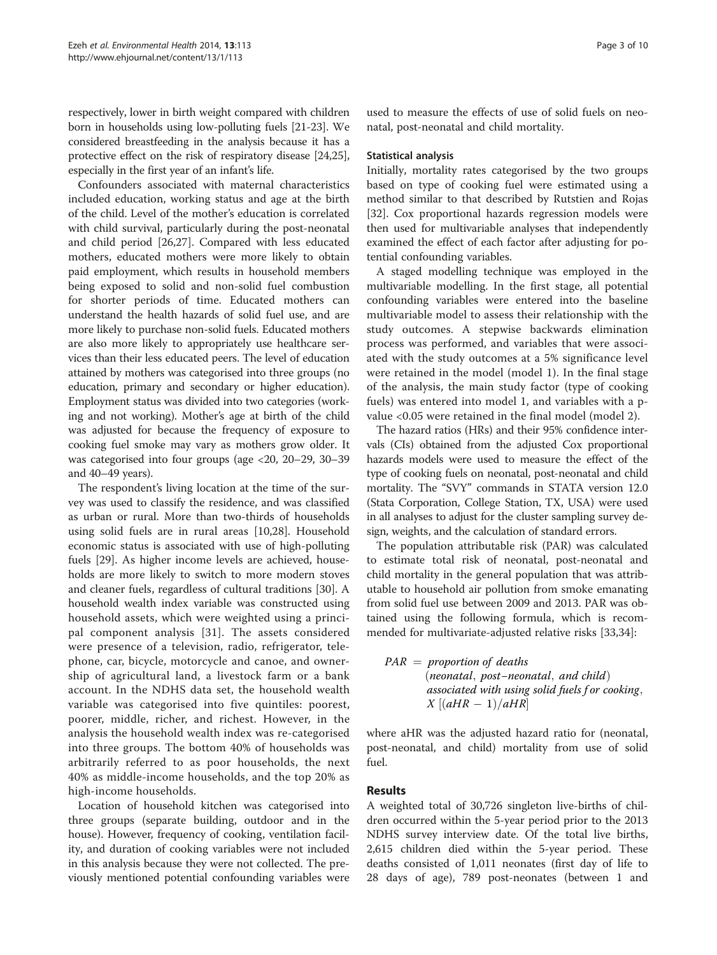respectively, lower in birth weight compared with children born in households using low-polluting fuels [\[21-23\]](#page-8-0). We considered breastfeeding in the analysis because it has a protective effect on the risk of respiratory disease [\[24,25](#page-8-0)], especially in the first year of an infant's life.

Confounders associated with maternal characteristics included education, working status and age at the birth of the child. Level of the mother's education is correlated with child survival, particularly during the post-neonatal and child period [\[26,27\]](#page-8-0). Compared with less educated mothers, educated mothers were more likely to obtain paid employment, which results in household members being exposed to solid and non-solid fuel combustion for shorter periods of time. Educated mothers can understand the health hazards of solid fuel use, and are more likely to purchase non-solid fuels. Educated mothers are also more likely to appropriately use healthcare services than their less educated peers. The level of education attained by mothers was categorised into three groups (no education, primary and secondary or higher education). Employment status was divided into two categories (working and not working). Mother's age at birth of the child was adjusted for because the frequency of exposure to cooking fuel smoke may vary as mothers grow older. It was categorised into four groups (age <20, 20–29, 30–39 and 40–49 years).

The respondent's living location at the time of the survey was used to classify the residence, and was classified as urban or rural. More than two-thirds of households using solid fuels are in rural areas [\[10,28](#page-8-0)]. Household economic status is associated with use of high-polluting fuels [[29](#page-8-0)]. As higher income levels are achieved, households are more likely to switch to more modern stoves and cleaner fuels, regardless of cultural traditions [\[30](#page-9-0)]. A household wealth index variable was constructed using household assets, which were weighted using a principal component analysis [[31\]](#page-9-0). The assets considered were presence of a television, radio, refrigerator, telephone, car, bicycle, motorcycle and canoe, and ownership of agricultural land, a livestock farm or a bank account. In the NDHS data set, the household wealth variable was categorised into five quintiles: poorest, poorer, middle, richer, and richest. However, in the analysis the household wealth index was re-categorised into three groups. The bottom 40% of households was arbitrarily referred to as poor households, the next 40% as middle-income households, and the top 20% as high-income households.

Location of household kitchen was categorised into three groups (separate building, outdoor and in the house). However, frequency of cooking, ventilation facility, and duration of cooking variables were not included in this analysis because they were not collected. The previously mentioned potential confounding variables were used to measure the effects of use of solid fuels on neonatal, post-neonatal and child mortality.

#### Statistical analysis

Initially, mortality rates categorised by the two groups based on type of cooking fuel were estimated using a method similar to that described by Rutstien and Rojas [[32\]](#page-9-0). Cox proportional hazards regression models were then used for multivariable analyses that independently examined the effect of each factor after adjusting for potential confounding variables.

A staged modelling technique was employed in the multivariable modelling. In the first stage, all potential confounding variables were entered into the baseline multivariable model to assess their relationship with the study outcomes. A stepwise backwards elimination process was performed, and variables that were associated with the study outcomes at a 5% significance level were retained in the model (model 1). In the final stage of the analysis, the main study factor (type of cooking fuels) was entered into model 1, and variables with a pvalue <0.05 were retained in the final model (model 2).

The hazard ratios (HRs) and their 95% confidence intervals (CIs) obtained from the adjusted Cox proportional hazards models were used to measure the effect of the type of cooking fuels on neonatal, post-neonatal and child mortality. The "SVY" commands in STATA version 12.0 (Stata Corporation, College Station, TX, USA) were used in all analyses to adjust for the cluster sampling survey design, weights, and the calculation of standard errors.

The population attributable risk (PAR) was calculated to estimate total risk of neonatal, post-neonatal and child mortality in the general population that was attributable to household air pollution from smoke emanating from solid fuel use between 2009 and 2013. PAR was obtained using the following formula, which is recommended for multivariate-adjusted relative risks [[33,34\]](#page-9-0):

| $PAR = proportion of deaths$                   |
|------------------------------------------------|
| $(nevat al, post-neonatal, and child)$         |
| associated with using solid fuels for cooking, |
| $X[(aHR - 1)/aHR]$                             |

where aHR was the adjusted hazard ratio for (neonatal, post-neonatal, and child) mortality from use of solid fuel.

# Results

A weighted total of 30,726 singleton live-births of children occurred within the 5-year period prior to the 2013 NDHS survey interview date. Of the total live births, 2,615 children died within the 5-year period. These deaths consisted of 1,011 neonates (first day of life to 28 days of age), 789 post-neonates (between 1 and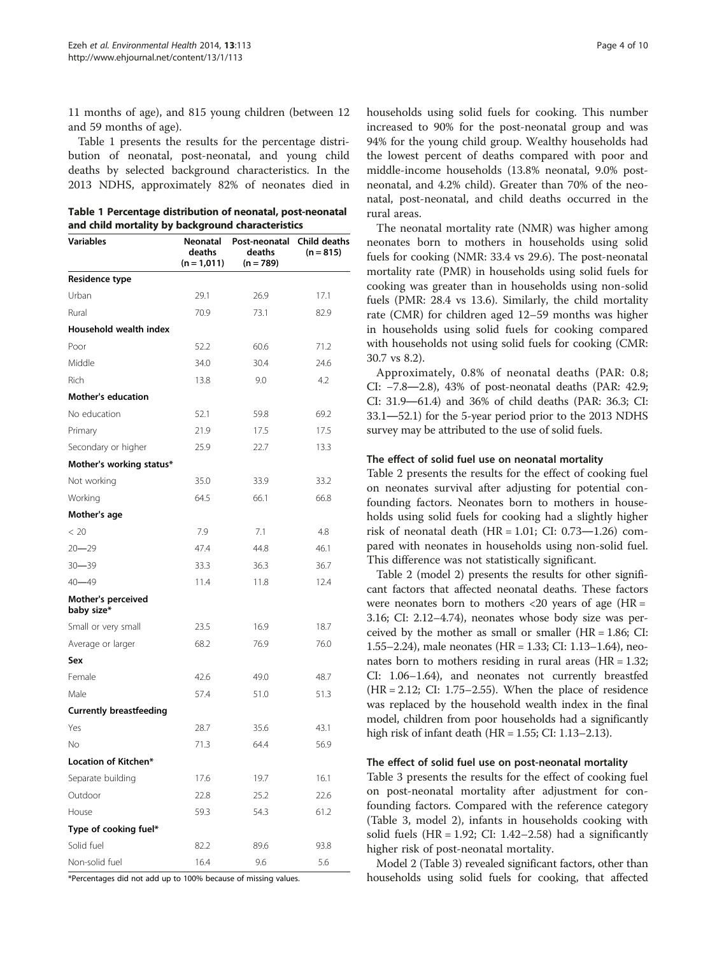11 months of age), and 815 young children (between 12 and 59 months of age).

Table 1 presents the results for the percentage distribution of neonatal, post-neonatal, and young child deaths by selected background characteristics. In the 2013 NDHS, approximately 82% of neonates died in

| Table 1 Percentage distribution of neonatal, post-neonatal |
|------------------------------------------------------------|
| and child mortality by background characteristics          |

| <b>Variables</b>                 | Neonatal<br>deaths<br>$(n = 1,011)$ | Post-neonatal<br>deaths<br>$(n = 789)$ | Child deaths<br>$(n = 815)$ |
|----------------------------------|-------------------------------------|----------------------------------------|-----------------------------|
| Residence type                   |                                     |                                        |                             |
| Urban                            | 29.1                                | 26.9                                   | 17.1                        |
| Rural                            | 70.9                                | 73.1                                   | 82.9                        |
| Household wealth index           |                                     |                                        |                             |
| Poor                             | 52.2                                | 60.6                                   | 71.2                        |
| Middle                           | 34.0                                | 30.4                                   | 24.6                        |
| Rich                             | 13.8                                | 9.0                                    | 4.2                         |
| <b>Mother's education</b>        |                                     |                                        |                             |
| No education                     | 52.1                                | 59.8                                   | 69.2                        |
| Primary                          | 21.9                                | 17.5                                   | 17.5                        |
| Secondary or higher              | 25.9                                | 22.7                                   | 13.3                        |
| Mother's working status*         |                                     |                                        |                             |
| Not working                      | 35.0                                | 33.9                                   | 33.2                        |
| Working                          | 64.5                                | 66.1                                   | 66.8                        |
| Mother's age                     |                                     |                                        |                             |
| < 20                             | 7.9                                 | 7.1                                    | 4.8                         |
| $20 - 29$                        | 47.4                                | 44.8                                   | 46.1                        |
| $30 - 39$                        | 33.3                                | 36.3                                   | 36.7                        |
| $40 - 49$                        | 11.4                                | 11.8                                   | 12.4                        |
| Mother's perceived<br>baby size* |                                     |                                        |                             |
| Small or very small              | 23.5                                | 16.9                                   | 18.7                        |
| Average or larger                | 68.2                                | 76.9                                   | 76.0                        |
| Sex                              |                                     |                                        |                             |
| Female                           | 42.6                                | 49.0                                   | 48.7                        |
| Male                             | 57.4                                | 51.0                                   | 51.3                        |
| <b>Currently breastfeeding</b>   |                                     |                                        |                             |
| Yes                              | 28.7                                | 35.6                                   | 43.1                        |
| No                               | 71.3                                | 64.4                                   | 56.9                        |
| Location of Kitchen*             |                                     |                                        |                             |
| Separate building                | 17.6                                | 19.7                                   | 16.1                        |
| Outdoor                          | 22.8                                | 25.2                                   | 22.6                        |
| House                            | 59.3                                | 54.3                                   | 61.2                        |
| Type of cooking fuel*            |                                     |                                        |                             |
| Solid fuel                       | 82.2                                | 89.6                                   | 93.8                        |
| Non-solid fuel                   | 16.4                                | 9.6                                    | 5.6                         |

\*Percentages did not add up to 100% because of missing values.

households using solid fuels for cooking. This number increased to 90% for the post-neonatal group and was 94% for the young child group. Wealthy households had the lowest percent of deaths compared with poor and middle-income households (13.8% neonatal, 9.0% postneonatal, and 4.2% child). Greater than 70% of the neonatal, post-neonatal, and child deaths occurred in the rural areas.

The neonatal mortality rate (NMR) was higher among neonates born to mothers in households using solid fuels for cooking (NMR: 33.4 vs 29.6). The post-neonatal mortality rate (PMR) in households using solid fuels for cooking was greater than in households using non-solid fuels (PMR: 28.4 vs 13.6). Similarly, the child mortality rate (CMR) for children aged 12–59 months was higher in households using solid fuels for cooking compared with households not using solid fuels for cooking (CMR: 30.7 vs 8.2).

Approximately, 0.8% of neonatal deaths (PAR: 0.8; CI: −7.8―2.8), 43% of post-neonatal deaths (PAR: 42.9; CI: 31.9―61.4) and 36% of child deaths (PAR: 36.3; CI: 33.1―52.1) for the 5-year period prior to the 2013 NDHS survey may be attributed to the use of solid fuels.

### The effect of solid fuel use on neonatal mortality

Table [2](#page-4-0) presents the results for the effect of cooking fuel on neonates survival after adjusting for potential confounding factors. Neonates born to mothers in households using solid fuels for cooking had a slightly higher risk of neonatal death  $(HR = 1.01; CI: 0.73-1.26)$  compared with neonates in households using non-solid fuel. This difference was not statistically significant.

Table [2](#page-4-0) (model 2) presents the results for other significant factors that affected neonatal deaths. These factors were neonates born to mothers  $\langle 20 \rangle$  years of age (HR = 3.16; CI: 2.12–4.74), neonates whose body size was perceived by the mother as small or smaller  $(HR = 1.86; CI:$ 1.55–2.24), male neonates (HR = 1.33; CI: 1.13–1.64), neonates born to mothers residing in rural areas  $(HR = 1.32;$ CI: 1.06–1.64), and neonates not currently breastfed (HR = 2.12; CI: 1.75–2.55). When the place of residence was replaced by the household wealth index in the final model, children from poor households had a significantly high risk of infant death (HR = 1.55; CI: 1.13–2.13).

#### The effect of solid fuel use on post-neonatal mortality

Table [3](#page-5-0) presents the results for the effect of cooking fuel on post-neonatal mortality after adjustment for confounding factors. Compared with the reference category (Table [3](#page-5-0), model 2), infants in households cooking with solid fuels (HR = 1.92; CI: 1.42–2.58) had a significantly higher risk of post-neonatal mortality.

Model 2 (Table [3\)](#page-5-0) revealed significant factors, other than households using solid fuels for cooking, that affected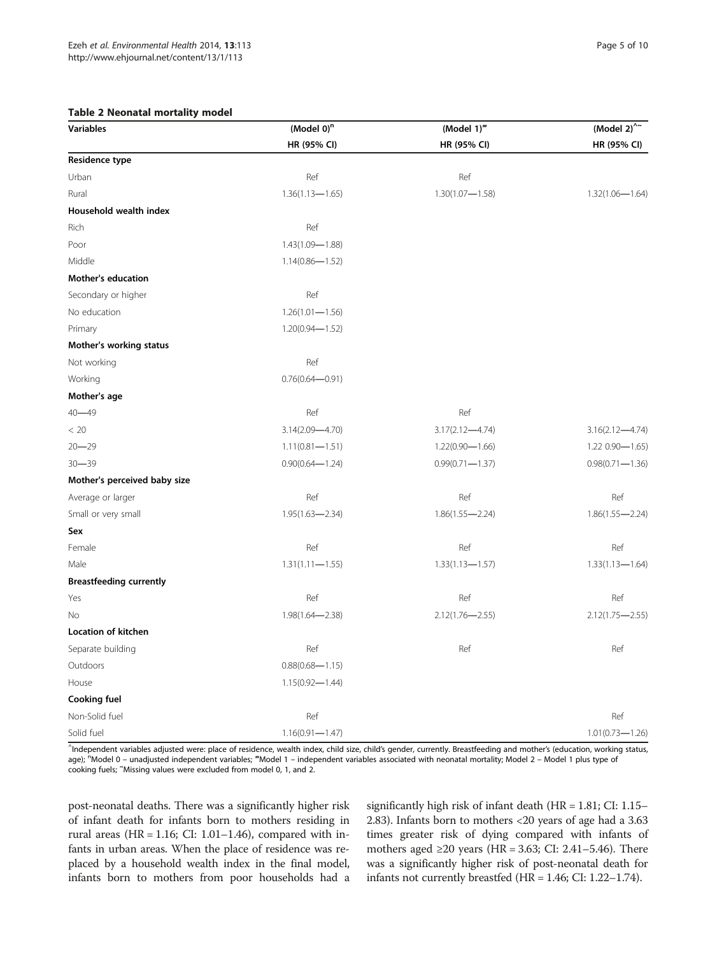#### **Table 2 Neonat**

<span id="page-4-0"></span>

| <b>Table 2 Neonatal mortality model</b><br><b>Variables</b> | (Model $0$ ) <sup>n</sup> | (Model 1)"          | (Model 2) $^{\wedge\sim}$ |
|-------------------------------------------------------------|---------------------------|---------------------|---------------------------|
|                                                             | HR (95% CI)               | HR (95% CI)         | HR (95% CI)               |
| <b>Residence type</b>                                       |                           |                     |                           |
| Urban                                                       | Ref                       | Ref                 |                           |
| Rural                                                       | $1.36(1.13 - 1.65)$       | $1.30(1.07 - 1.58)$ | $1.32(1.06 - 1.64)$       |
| Household wealth index                                      |                           |                     |                           |
| Rich                                                        | Ref                       |                     |                           |
| Poor                                                        | $1.43(1.09 - 1.88)$       |                     |                           |
| Middle                                                      | $1.14(0.86 - 1.52)$       |                     |                           |
| <b>Mother's education</b>                                   |                           |                     |                           |
| Secondary or higher                                         | Ref                       |                     |                           |
| No education                                                | $1.26(1.01 - 1.56)$       |                     |                           |
| Primary                                                     | $1.20(0.94 - 1.52)$       |                     |                           |
| Mother's working status                                     |                           |                     |                           |
| Not working                                                 | Ref                       |                     |                           |
| Working                                                     | $0.76(0.64 - 0.91)$       |                     |                           |
| Mother's age                                                |                           |                     |                           |
| $40 - 49$                                                   | Ref                       | Ref                 |                           |
| < 20                                                        | $3.14(2.09 - 4.70)$       | $3.17(2.12 - 4.74)$ | $3.16(2.12 - 4.74)$       |
|                                                             | $1.11(0.81 - 1.51)$       | $1.22(0.90 - 1.66)$ | $1.220.90 - 1.65$         |
|                                                             | $0.90(0.64 - 1.24)$       | $0.99(0.71 - 1.37)$ | $0.98(0.71 - 1.36)$       |
| $20 - 29$<br>$30 - 39$                                      |                           |                     |                           |

Mother's perceived baby size Average or larger Ref Ref Ref Small or very small 1.95(1.63―2.34) 1.86(1.55―2.24) 1.86(1.55―2.24) Sex Female Ref Ref Ref Male 1.31(1.11—1.55) 1.33(1.13—1.57) 1.33(1.13—1.57) Breastfeeding currently Yes Ref Ref Ref No 1.98(1.64―2.38) 2.12(1.76―2.55) 2.12(1.75―2.55) Location of kitchen Separate building Ref Ref Ref Outdoors 0.88(0.68—1.15) House 1.15(0.92―1.44) Cooking fuel Non-Solid fuel Ref Ref Solid fuel 1.16(0.91—1.47) 1.01(0.73—1.26)

^ Independent variables adjusted were: place of residence, wealth index, child size, child's gender, currently. Breastfeeding and mother's (education, working status, age); <sup>n</sup>Model 0 – unadjusted independent variables; "Model 1 – independent variables associated with neonatal mortality; Model 2 – Model 1 plus type of cooking fuels; <sup>~</sup> Missing values were excluded from model 0, 1, and 2.

post-neonatal deaths. There was a significantly higher risk of infant death for infants born to mothers residing in rural areas (HR =  $1.16$ ; CI:  $1.01-1.46$ ), compared with infants in urban areas. When the place of residence was replaced by a household wealth index in the final model, infants born to mothers from poor households had a

significantly high risk of infant death (HR = 1.81; CI: 1.15– 2.83). Infants born to mothers <20 years of age had a 3.63 times greater risk of dying compared with infants of mothers aged ≥20 years (HR = 3.63; CI: 2.41–5.46). There was a significantly higher risk of post-neonatal death for infants not currently breastfed (HR = 1.46; CI: 1.22–1.74).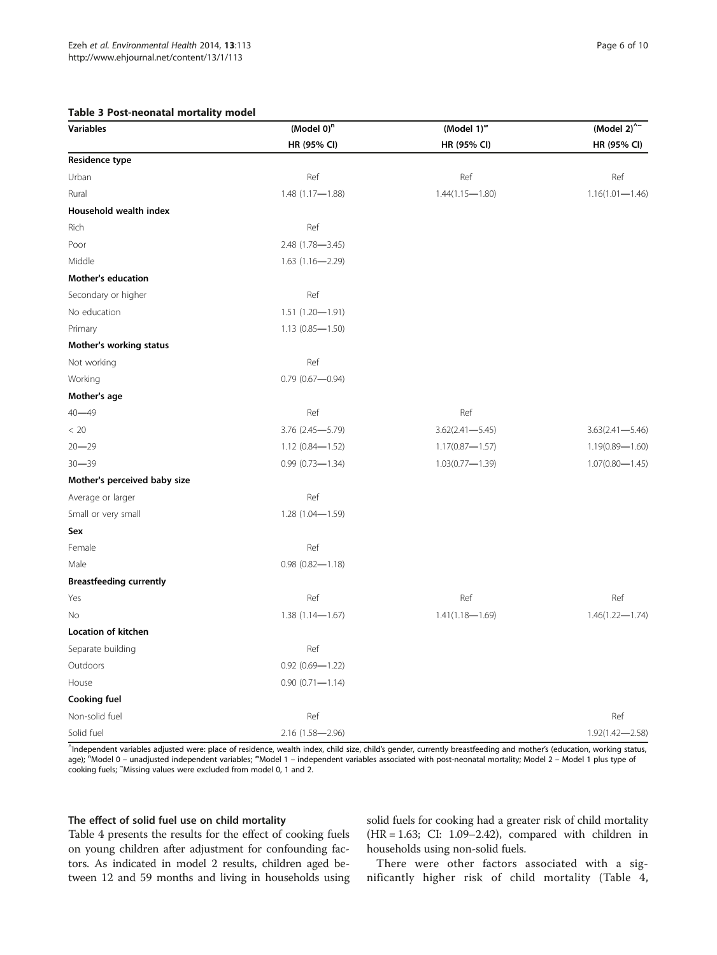#### <span id="page-5-0"></span>Table 3 Post-neonatal mortality model

| Variables                      | (Model 0) <sup>n</sup> | (Model 1)"          | (Model $2)^{2/2}$   |
|--------------------------------|------------------------|---------------------|---------------------|
|                                | HR (95% CI)            | HR (95% CI)         | HR (95% CI)         |
| Residence type                 |                        |                     |                     |
| Urban                          | Ref                    | Ref                 | Ref                 |
| Rural                          | $1.48(1.17 - 1.88)$    | $1.44(1.15 - 1.80)$ | $1.16(1.01 - 1.46)$ |
| Household wealth index         |                        |                     |                     |
| Rich                           | Ref                    |                     |                     |
| Poor                           | 2.48 (1.78-3.45)       |                     |                     |
| Middle                         | $1.63(1.16 - 2.29)$    |                     |                     |
| <b>Mother's education</b>      |                        |                     |                     |
| Secondary or higher            | Ref                    |                     |                     |
| No education                   | $1.51(1.20 - 1.91)$    |                     |                     |
| Primary                        | $1.13(0.85 - 1.50)$    |                     |                     |
| Mother's working status        |                        |                     |                     |
| Not working                    | Ref                    |                     |                     |
| Working                        | $0.79(0.67 - 0.94)$    |                     |                     |
| Mother's age                   |                        |                     |                     |
| 40-49                          | Ref                    | Ref                 |                     |
| < 20                           | 3.76 (2.45-5.79)       | $3.62(2.41 - 5.45)$ | $3.63(2.41 - 5.46)$ |
| 20–29                          | $1.12(0.84 - 1.52)$    | $1.17(0.87 - 1.57)$ | $1.19(0.89 - 1.60)$ |
| $30 - 39$                      | $0.99(0.73 - 1.34)$    | $1.03(0.77 - 1.39)$ | $1.07(0.80 - 1.45)$ |
| Mother's perceived baby size   |                        |                     |                     |
| Average or larger              | Ref                    |                     |                     |
| Small or very small            | 1.28 (1.04-1.59)       |                     |                     |
| Sex                            |                        |                     |                     |
| Female                         | Ref                    |                     |                     |
| Male                           | $0.98(0.82 - 1.18)$    |                     |                     |
| <b>Breastfeeding currently</b> |                        |                     |                     |
| Yes                            | Ref                    | Ref                 | Ref                 |
| No                             | $1.38(1.14 - 1.67)$    | $1.41(1.18 - 1.69)$ | $1.46(1.22 - 1.74)$ |
| Location of kitchen            |                        |                     |                     |
| Separate building              | Ref                    |                     |                     |
| Outdoors                       | $0.92(0.69 - 1.22)$    |                     |                     |
| House                          | $0.90(0.71 - 1.14)$    |                     |                     |
| Cooking fuel                   |                        |                     |                     |

^ Independent variables adjusted were: place of residence, wealth index, child size, child's gender, currently breastfeeding and mother's (education, working status, age); <sup>n</sup>Model 0 – unadjusted independent variables; "Model 1 – independent variables associated with post-neonatal mortality; Model 2 – Model 1 plus type of cooking fuels; <sup>~</sup> Missing values were excluded from model 0, 1 and 2.

Non-solid fuel Ref Ref Solid fuel 2.16 (1.58—2.96) 2.16 (1.58—2.96) 2.16 (1.58—2.96)

# The effect of solid fuel use on child mortality

Table [4](#page-6-0) presents the results for the effect of cooking fuels on young children after adjustment for confounding factors. As indicated in model 2 results, children aged between 12 and 59 months and living in households using solid fuels for cooking had a greater risk of child mortality (HR = 1.63; CI: 1.09–2.42), compared with children in households using non-solid fuels.

There were other factors associated with a significantly higher risk of child mortality (Table [4](#page-6-0),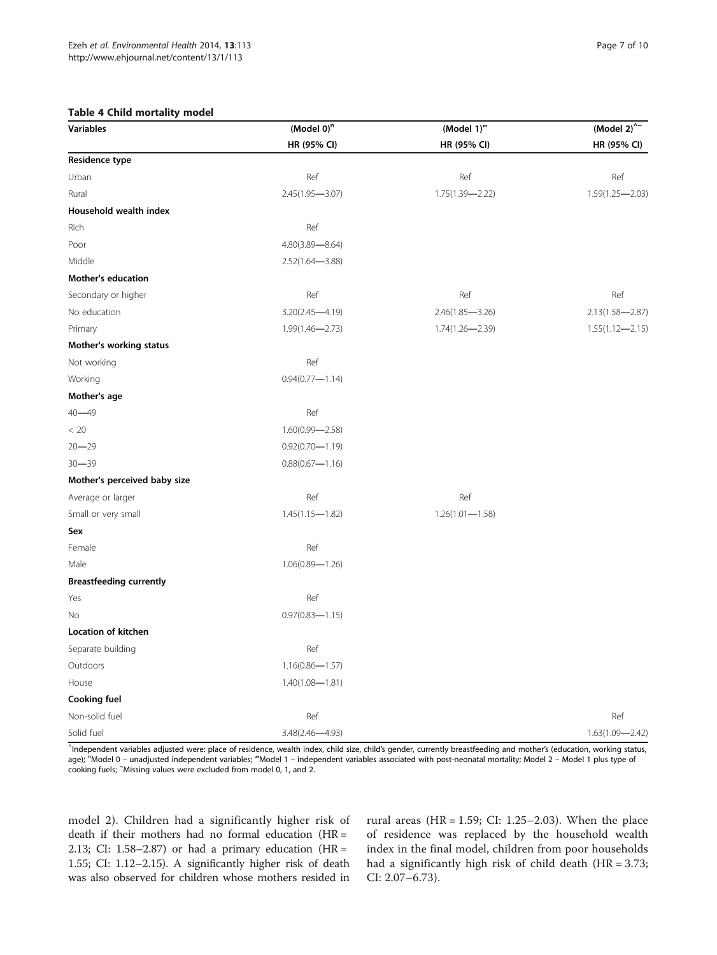#### Table 4 Child mortality model

<span id="page-6-0"></span>

| <b>Variables</b>          | (Model $0$ ) <sup>n</sup> | (Model 1)"          | (Model 2) $^{\wedge}$ |
|---------------------------|---------------------------|---------------------|-----------------------|
|                           | HR (95% CI)               | HR (95% CI)         | HR (95% CI)           |
| Residence type            |                           |                     |                       |
| Urban                     | Ref                       | Ref                 | Ref                   |
| Rural                     | $2.45(1.95 - 3.07)$       | $1.75(1.39 - 2.22)$ | $1.59(1.25 - 2.03)$   |
| Household wealth index    |                           |                     |                       |
| Rich                      | Ref                       |                     |                       |
| Poor                      | $4.80(3.89 - 8.64)$       |                     |                       |
| Middle                    | $2.52(1.64 - 3.88)$       |                     |                       |
| <b>Mother's education</b> |                           |                     |                       |

| <b>Mother's education</b>      |                     |                     |                     |
|--------------------------------|---------------------|---------------------|---------------------|
| Secondary or higher            | Ref                 | Ref                 | Ref                 |
| No education                   | $3.20(2.45 - 4.19)$ | $2.46(1.85 - 3.26)$ | $2.13(1.58 - 2.87)$ |
| Primary                        | $1.99(1.46 - 2.73)$ | 1.74(1.26-2.39)     | $1.55(1.12 - 2.15)$ |
| Mother's working status        |                     |                     |                     |
| Not working                    | Ref                 |                     |                     |
| Working                        | $0.94(0.77 - 1.14)$ |                     |                     |
| Mother's age                   |                     |                     |                     |
| $40 - 49$                      | Ref                 |                     |                     |
| < 20                           | $1.60(0.99 - 2.58)$ |                     |                     |
| $20 - 29$                      | $0.92(0.70 - 1.19)$ |                     |                     |
| $30 - 39$                      | $0.88(0.67 - 1.16)$ |                     |                     |
| Mother's perceived baby size   |                     |                     |                     |
| Average or larger              | Ref                 | Ref                 |                     |
| Small or very small            | $1.45(1.15 - 1.82)$ | $1.26(1.01 - 1.58)$ |                     |
| Sex                            |                     |                     |                     |
| Female                         | Ref                 |                     |                     |
| Male                           | $1.06(0.89 - 1.26)$ |                     |                     |
| <b>Breastfeeding currently</b> |                     |                     |                     |
| Yes                            | Ref                 |                     |                     |
| No                             | $0.97(0.83 - 1.15)$ |                     |                     |
| Location of kitchen            |                     |                     |                     |
| Separate building              | Ref                 |                     |                     |
| Outdoors                       | $1.16(0.86 - 1.57)$ |                     |                     |
| House                          | $1.40(1.08 - 1.81)$ |                     |                     |
| Cooking fuel                   |                     |                     |                     |
| Non-solid fuel                 | Ref                 |                     | Ref                 |
| Solid fuel                     | 3.48(2.46-4.93)     |                     | $1.63(1.09 - 2.42)$ |

^ Independent variables adjusted were: place of residence, wealth index, child size, child's gender, currently breastfeeding and mother's (education, working status, age); <sup>n</sup>Model 0 – unadjusted independent variables; "Model 1 – independent variables associated with post-neonatal mortality; Model 2 – Model 1 plus type of cooking fuels; <sup>~</sup> Missing values were excluded from model 0, 1, and 2.

model 2). Children had a significantly higher risk of death if their mothers had no formal education (HR = 2.13; CI: 1.58–2.87) or had a primary education ( $HR =$ 1.55; CI: 1.12–2.15). A significantly higher risk of death was also observed for children whose mothers resided in rural areas (HR =  $1.59$ ; CI:  $1.25-2.03$ ). When the place of residence was replaced by the household wealth index in the final model, children from poor households had a significantly high risk of child death (HR = 3.73; CI: 2.07–6.73).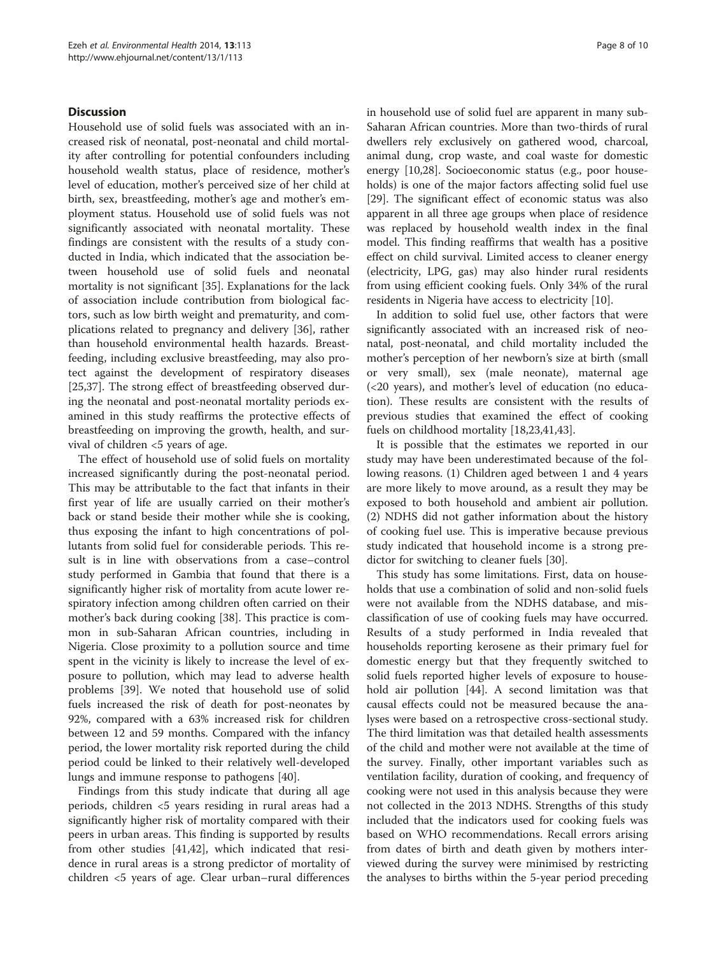# Discussion

Household use of solid fuels was associated with an increased risk of neonatal, post-neonatal and child mortality after controlling for potential confounders including household wealth status, place of residence, mother's level of education, mother's perceived size of her child at birth, sex, breastfeeding, mother's age and mother's employment status. Household use of solid fuels was not significantly associated with neonatal mortality. These findings are consistent with the results of a study conducted in India, which indicated that the association between household use of solid fuels and neonatal mortality is not significant [[35\]](#page-9-0). Explanations for the lack of association include contribution from biological factors, such as low birth weight and prematurity, and complications related to pregnancy and delivery [[36\]](#page-9-0), rather than household environmental health hazards. Breastfeeding, including exclusive breastfeeding, may also protect against the development of respiratory diseases [[25,](#page-8-0)[37\]](#page-9-0). The strong effect of breastfeeding observed during the neonatal and post-neonatal mortality periods examined in this study reaffirms the protective effects of breastfeeding on improving the growth, health, and survival of children <5 years of age.

The effect of household use of solid fuels on mortality increased significantly during the post-neonatal period. This may be attributable to the fact that infants in their first year of life are usually carried on their mother's back or stand beside their mother while she is cooking, thus exposing the infant to high concentrations of pollutants from solid fuel for considerable periods. This result is in line with observations from a case–control study performed in Gambia that found that there is a significantly higher risk of mortality from acute lower respiratory infection among children often carried on their mother's back during cooking [\[38](#page-9-0)]. This practice is common in sub-Saharan African countries, including in Nigeria. Close proximity to a pollution source and time spent in the vicinity is likely to increase the level of exposure to pollution, which may lead to adverse health problems [[39\]](#page-9-0). We noted that household use of solid fuels increased the risk of death for post-neonates by 92%, compared with a 63% increased risk for children between 12 and 59 months. Compared with the infancy period, the lower mortality risk reported during the child period could be linked to their relatively well-developed lungs and immune response to pathogens [[40\]](#page-9-0).

Findings from this study indicate that during all age periods, children <5 years residing in rural areas had a significantly higher risk of mortality compared with their peers in urban areas. This finding is supported by results from other studies [[41,42\]](#page-9-0), which indicated that residence in rural areas is a strong predictor of mortality of children <5 years of age. Clear urban–rural differences in household use of solid fuel are apparent in many sub-Saharan African countries. More than two-thirds of rural dwellers rely exclusively on gathered wood, charcoal, animal dung, crop waste, and coal waste for domestic energy [\[10,28\]](#page-8-0). Socioeconomic status (e.g., poor households) is one of the major factors affecting solid fuel use [[29\]](#page-8-0). The significant effect of economic status was also apparent in all three age groups when place of residence was replaced by household wealth index in the final model. This finding reaffirms that wealth has a positive effect on child survival. Limited access to cleaner energy (electricity, LPG, gas) may also hinder rural residents from using efficient cooking fuels. Only 34% of the rural residents in Nigeria have access to electricity [\[10](#page-8-0)].

In addition to solid fuel use, other factors that were significantly associated with an increased risk of neonatal, post-neonatal, and child mortality included the mother's perception of her newborn's size at birth (small or very small), sex (male neonate), maternal age (<20 years), and mother's level of education (no education). These results are consistent with the results of previous studies that examined the effect of cooking fuels on childhood mortality [\[18,23,](#page-8-0)[41,43\]](#page-9-0).

It is possible that the estimates we reported in our study may have been underestimated because of the following reasons. (1) Children aged between 1 and 4 years are more likely to move around, as a result they may be exposed to both household and ambient air pollution. (2) NDHS did not gather information about the history of cooking fuel use. This is imperative because previous study indicated that household income is a strong predictor for switching to cleaner fuels [[30](#page-9-0)].

This study has some limitations. First, data on households that use a combination of solid and non-solid fuels were not available from the NDHS database, and misclassification of use of cooking fuels may have occurred. Results of a study performed in India revealed that households reporting kerosene as their primary fuel for domestic energy but that they frequently switched to solid fuels reported higher levels of exposure to household air pollution [[44\]](#page-9-0). A second limitation was that causal effects could not be measured because the analyses were based on a retrospective cross-sectional study. The third limitation was that detailed health assessments of the child and mother were not available at the time of the survey. Finally, other important variables such as ventilation facility, duration of cooking, and frequency of cooking were not used in this analysis because they were not collected in the 2013 NDHS. Strengths of this study included that the indicators used for cooking fuels was based on WHO recommendations. Recall errors arising from dates of birth and death given by mothers interviewed during the survey were minimised by restricting the analyses to births within the 5-year period preceding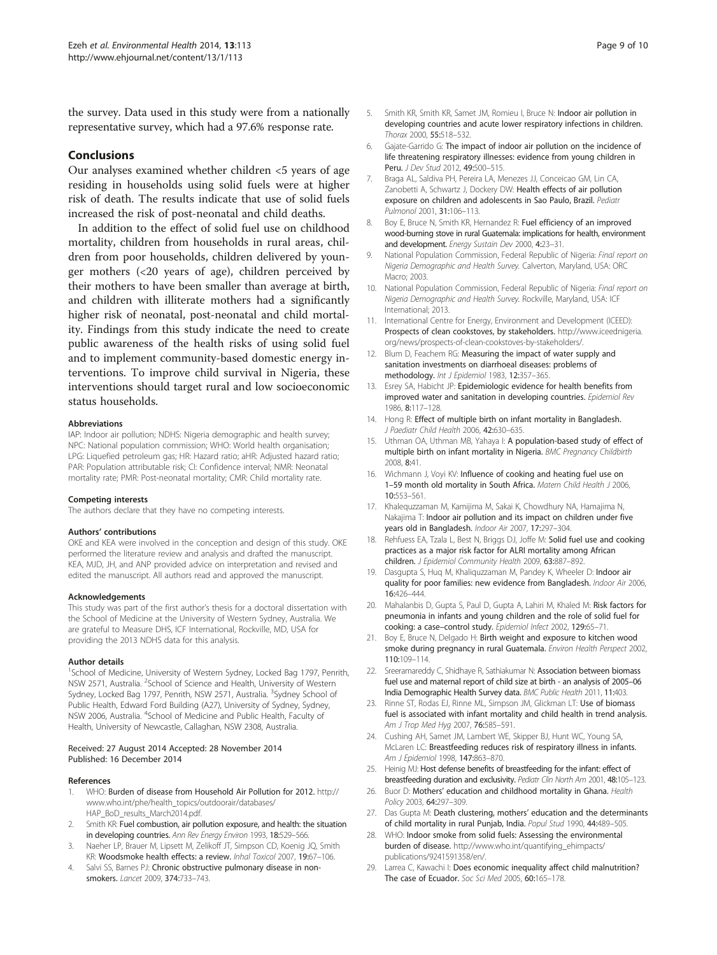<span id="page-8-0"></span>the survey. Data used in this study were from a nationally representative survey, which had a 97.6% response rate.

### Conclusions

Our analyses examined whether children <5 years of age residing in households using solid fuels were at higher risk of death. The results indicate that use of solid fuels increased the risk of post-neonatal and child deaths.

In addition to the effect of solid fuel use on childhood mortality, children from households in rural areas, children from poor households, children delivered by younger mothers (<20 years of age), children perceived by their mothers to have been smaller than average at birth, and children with illiterate mothers had a significantly higher risk of neonatal, post-neonatal and child mortality. Findings from this study indicate the need to create public awareness of the health risks of using solid fuel and to implement community-based domestic energy interventions. To improve child survival in Nigeria, these interventions should target rural and low socioeconomic status households.

#### Abbreviations

IAP: Indoor air pollution; NDHS: Nigeria demographic and health survey; NPC: National population commission; WHO: World health organisation; LPG: Liquefied petroleum gas; HR: Hazard ratio; aHR: Adjusted hazard ratio; PAR: Population attributable risk; CI: Confidence interval; NMR: Neonatal mortality rate; PMR: Post-neonatal mortality; CMR: Child mortality rate.

#### Competing interests

The authors declare that they have no competing interests.

#### Authors' contributions

OKE and KEA were involved in the conception and design of this study. OKE performed the literature review and analysis and drafted the manuscript. KEA, MJD, JH, and ANP provided advice on interpretation and revised and edited the manuscript. All authors read and approved the manuscript.

#### Acknowledgements

This study was part of the first author's thesis for a doctoral dissertation with the School of Medicine at the University of Western Sydney, Australia. We are grateful to Measure DHS, ICF International, Rockville, MD, USA for providing the 2013 NDHS data for this analysis.

#### Author details

<sup>1</sup>School of Medicine, University of Western Sydney, Locked Bag 1797, Penrith, NSW 2571, Australia. <sup>2</sup>School of Science and Health, University of Western Sydney, Locked Bag 1797, Penrith, NSW 2571, Australia. <sup>3</sup>Sydney School of Public Health, Edward Ford Building (A27), University of Sydney, Sydney, NSW 2006, Australia. <sup>4</sup>School of Medicine and Public Health, Faculty of Health, University of Newcastle, Callaghan, NSW 2308, Australia.

#### Received: 27 August 2014 Accepted: 28 November 2014 Published: 16 December 2014

#### References

- 1. WHO: Burden of disease from Household Air Pollution for 2012. [http://](http://www.who.int/phe/health_topics/outdoorair/databases/HAP_BoD_results_March2014.pdf) [www.who.int/phe/health\\_topics/outdoorair/databases/](http://www.who.int/phe/health_topics/outdoorair/databases/HAP_BoD_results_March2014.pdf) [HAP\\_BoD\\_results\\_March2014.pdf.](http://www.who.int/phe/health_topics/outdoorair/databases/HAP_BoD_results_March2014.pdf)
- Smith KR: Fuel combustion, air pollution exposure, and health: the situation in developing countries. Ann Rev Energy Environ 1993, 18:529-566.
- Naeher LP, Brauer M, Lipsett M, Zelikoff JT, Simpson CD, Koenig JQ, Smith KR: Woodsmoke health effects: a review. Inhal Toxicol 2007, 19:67–106.
- 4. Salvi SS, Barnes PJ: Chronic obstructive pulmonary disease in nonsmokers. Lancet 2009, 374:733–743.
- 5. Smith KR, Smith KR, Samet JM, Romieu I, Bruce N: Indoor air pollution in developing countries and acute lower respiratory infections in children. Thorax 2000, 55:518–532.
- 6. Gajate-Garrido G: The impact of indoor air pollution on the incidence of life threatening respiratory illnesses: evidence from young children in Peru. J Dev Stud 2012, 49:500–515.
- 7. Braga AL, Saldiva PH, Pereira LA, Menezes JJ, Conceicao GM, Lin CA, Zanobetti A, Schwartz J, Dockery DW: Health effects of air pollution exposure on children and adolescents in Sao Paulo, Brazil. Pediatr Pulmonol 2001, 31:106–113.
- Boy E, Bruce N, Smith KR, Hernandez R: Fuel efficiency of an improved wood-burning stove in rural Guatemala: implications for health, environment and development. Energy Sustain Dev 2000, 4:23–31.
- 9. National Population Commission, Federal Republic of Nigeria: Final report on Nigeria Demographic and Health Survey. Calverton, Maryland, USA: ORC Macro; 2003.
- 10. National Population Commission, Federal Republic of Nigeria: Final report on Nigeria Demographic and Health Survey. Rockville, Maryland, USA: ICF International; 2013.
- 11. International Centre for Energy, Environment and Development (ICEED): Prospects of clean cookstoves, by stakeholders. [http://www.iceednigeria.](http://www.iceednigeria.org/news/prospects-of-clean-cookstoves-by-stakeholders/) [org/news/prospects-of-clean-cookstoves-by-stakeholders/.](http://www.iceednigeria.org/news/prospects-of-clean-cookstoves-by-stakeholders/)
- 12. Blum D, Feachem RG: Measuring the impact of water supply and sanitation investments on diarrhoeal diseases: problems of methodology. Int J Epidemiol 1983, 12:357–365.
- 13. Esrey SA, Habicht JP: Epidemiologic evidence for health benefits from improved water and sanitation in developing countries. Epidemiol Rev 1986, 8:117–128.
- 14. Hong R: Effect of multiple birth on infant mortality in Bangladesh. J Paediatr Child Health 2006, 42:630–635.
- 15. Uthman OA, Uthman MB, Yahaya I: A population-based study of effect of multiple birth on infant mortality in Nigeria. BMC Pregnancy Childbirth 2008, 8:41.
- 16. Wichmann J, Voyi KV: Influence of cooking and heating fuel use on 1-59 month old mortality in South Africa. Matern Child Health J 2006, 10:553–561.
- 17. Khalequzzaman M, Kamijima M, Sakai K, Chowdhury NA, Hamajima N, Nakajima T: Indoor air pollution and its impact on children under five years old in Bangladesh. Indoor Air 2007, 17:297–304.
- 18. Rehfuess EA, Tzala L, Best N, Briggs DJ, Joffe M: Solid fuel use and cooking practices as a major risk factor for ALRI mortality among African children. J Epidemiol Community Health 2009, 63:887-892.
- 19. Dasgupta S, Huq M, Khaliquzzaman M, Pandey K, Wheeler D: Indoor air quality for poor families: new evidence from Bangladesh. Indoor Air 2006, 16:426–444.
- 20. Mahalanbis D, Gupta S, Paul D, Gupta A, Lahiri M, Khaled M: Risk factors for pneumonia in infants and young children and the role of solid fuel for cooking: a case–control study. Epidemiol Infect 2002, 129:65–71.
- 21. Boy E, Bruce N, Delgado H: Birth weight and exposure to kitchen wood smoke during pregnancy in rural Guatemala. Environ Health Perspect 2002, 110:109–114.
- 22. Sreeramareddy C, Shidhaye R, Sathiakumar N: Association between biomass fuel use and maternal report of child size at birth - an analysis of 2005–06 India Demographic Health Survey data. BMC Public Health 2011, 11:403.
- 23. Rinne ST, Rodas EJ, Rinne ML, Simpson JM, Glickman LT: Use of biomass fuel is associated with infant mortality and child health in trend analysis. Am J Trop Med Hyg 2007, 76:585-591.
- 24. Cushing AH, Samet JM, Lambert WE, Skipper BJ, Hunt WC, Young SA, McLaren LC: Breastfeeding reduces risk of respiratory illness in infants. Am J Epidemiol 1998, 147:863–870.
- 25. Heinig MJ: Host defense benefits of breastfeeding for the infant: effect of breastfeeding duration and exclusivity. Pediatr Clin North Am 2001, 48:105–123.
- 26. Buor D: Mothers' education and childhood mortality in Ghana. Health Policy 2003, 64:297–309.
- 27. Das Gupta M: Death clustering, mothers' education and the determinants of child mortality in rural Punjab, India. Popul Stud 1990, 44:489–505.
- 28. WHO: Indoor smoke from solid fuels: Assessing the environmental burden of disease. [http://www.who.int/quantifying\\_ehimpacts/](http://www.who.int/quantifying_ehimpacts/publications/9241591358/en/) [publications/9241591358/en/.](http://www.who.int/quantifying_ehimpacts/publications/9241591358/en/)
- 29. Larrea C, Kawachi I: Does economic inequality affect child malnutrition? The case of Ecuador. Soc Sci Med 2005, 60:165–178.